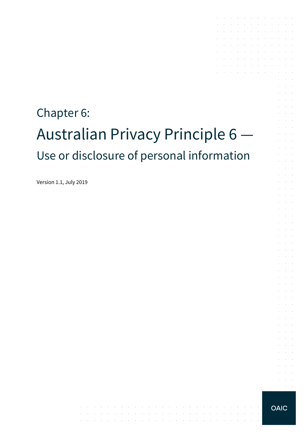# Chapter 6: Australian Privacy Principle 6 — Use or disclosure of personal information

 $\mathcal{A}$  , and  $\mathcal{A}$  is a set of the set of the set of the set of  $\mathcal{A}$ 

and the control

والمتواصل والمتعارض والمتعارض والمتعارض والمتعارض والمتعارض والمتعارض والمتعارض

Version 1.1, July 2019

 $\alpha = \alpha + \beta$ 

the contract of the contract of the contract of

and the contract of the contract of the

 $\sim 10^{-10}$  km

**Contractor** 

 $\sim 10^{-1}$  km  $^{-1}$ 

 $\mathcal{L}_{\mathcal{A}}$ 

÷  $\mathcal{L}^{\text{max}}$ 

 $\alpha$  and  $\alpha$ 

 $\mathcal{L}^{\text{max}}$  and

 $\mathcal{L}^{\text{max}}$  .  $\mathcal{L}^{\text{max}}$ 

 $\alpha$  and  $\alpha$  $\sim 10^{-1}$  .

 $\mathcal{L}^{\text{max}}$  $\mathcal{L}^{\text{max}}$ 

 $\mathcal{L}^{\text{max}}$ 

 $\alpha$  and  $\alpha$ 

 $\bar{z}$ 

 $\mathcal{A}$  . The second constraints of the second constraints  $\mathcal{A}$  $\mathcal{L}^{\text{max}}$  and  $\sim 10^{-1}$ 

the control of the control of

**Carl Carl** 

and a strategic and a strategic **Contractor** 

 $\sim$ 

**Contract** 

 $\mathcal{L}$  $\sim$ 

> $\mathcal{L}_{\mathcal{A}}$  $\sim 10^{-1}$  $\sim$  $\mathcal{L}_{\rm{max}}$  .  $\sim 10^{-1}$  $\sim$  $\sim$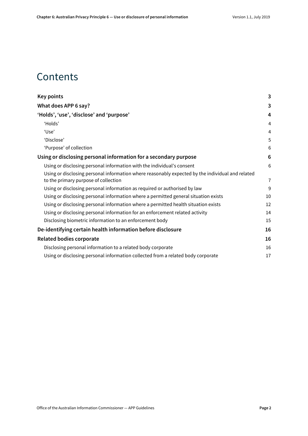### **Contents**

| <b>Key points</b>                                                                                                                        | 3  |
|------------------------------------------------------------------------------------------------------------------------------------------|----|
| What does APP 6 say?                                                                                                                     | 3  |
| 'Holds', 'use', 'disclose' and 'purpose'                                                                                                 | 4  |
| 'Holds'                                                                                                                                  | 4  |
| 'Use'                                                                                                                                    | 4  |
| 'Disclose'                                                                                                                               | 5  |
| 'Purpose' of collection                                                                                                                  | 6  |
| Using or disclosing personal information for a secondary purpose                                                                         | 6  |
| Using or disclosing personal information with the individual's consent                                                                   | 6  |
| Using or disclosing personal information where reasonably expected by the individual and related<br>to the primary purpose of collection | 7  |
| Using or disclosing personal information as required or authorised by law                                                                | 9  |
| Using or disclosing personal information where a permitted general situation exists                                                      | 10 |
| Using or disclosing personal information where a permitted health situation exists                                                       | 12 |
| Using or disclosing personal information for an enforcement related activity                                                             | 14 |
| Disclosing biometric information to an enforcement body                                                                                  | 15 |
| De-identifying certain health information before disclosure                                                                              | 16 |
| <b>Related bodies corporate</b>                                                                                                          | 16 |
| Disclosing personal information to a related body corporate                                                                              | 16 |
| Using or disclosing personal information collected from a related body corporate                                                         | 17 |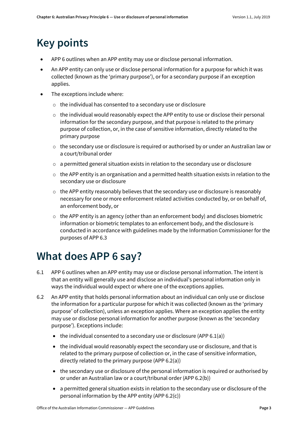## <span id="page-2-0"></span>**Key points**

- APP 6 outlines when an APP entity may use or disclose personal information.
- An APP entity can only use or disclose personal information for a purpose for which it was collected (known as the 'primary purpose'), or for a secondary purpose if an exception applies.
- The exceptions include where:
	- o the individual has consented to a secondary use or disclosure
	- $\circ$  the individual would reasonably expect the APP entity to use or disclose their personal information for the secondary purpose, and that purpose is related to the primary purpose of collection, or, in the case of sensitive information, directly related to the primary purpose
	- $\circ$  the secondary use or disclosure is required or authorised by or under an Australian law or a court/tribunal order
	- $\circ$  a permitted general situation exists in relation to the secondary use or disclosure
	- $\circ$  the APP entity is an organisation and a permitted health situation exists in relation to the secondary use or disclosure
	- $\circ$  the APP entity reasonably believes that the secondary use or disclosure is reasonably necessary for one or more enforcement related activities conducted by, or on behalf of, an enforcement body, or
	- $\circ$  the APP entity is an agency (other than an enforcement body) and discloses biometric information or biometric templates to an enforcement body, and the disclosure is conducted in accordance with guidelines made by the Information Commissioner for the purposes of APP 6.3

## <span id="page-2-1"></span>**What does APP 6 say?**

- 6.1 APP 6 outlines when an APP entity may use or disclose personal information. The intent is that an entity will generally use and disclose an individual's personal information only in ways the individual would expect or where one of the exceptions applies.
- <span id="page-2-2"></span>6.2 An APP entity that holds personal information about an individual can only use or disclose the information for a particular purpose for which it was collected (known as the 'primary purpose' of collection), unless an exception applies. Where an exception applies the entity may use or disclose personal information for another purpose (known as the 'secondary purpose'). Exceptions include:
	- the individual consented to a secondary use or disclosure (APP  $6.1(a)$ )
	- the individual would reasonably expect the secondary use or disclosure, and that is related to the primary purpose of collection or, in the case of sensitive information, directly related to the primary purpose (APP 6.2(a))
	- the secondary use or disclosure of the personal information is required or authorised by or under an Australian law or a court/tribunal order (APP 6.2(b))
	- a permitted general situation exists in relation to the secondary use or disclosure of the personal information by the APP entity (APP 6.2(c))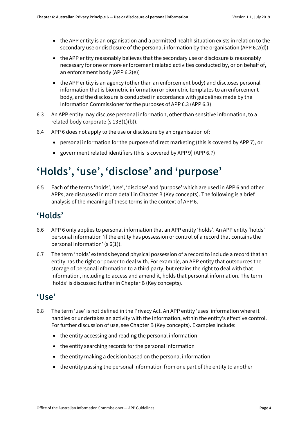- the APP entity is an organisation and a permitted health situation exists in relation to the secondary use or disclosure of the personal information by the organisation (APP 6.2(d))
- the APP entity reasonably believes that the secondary use or disclosure is reasonably necessary for one or more enforcement related activities conducted by, or on behalf of, an enforcement body (APP 6.2(e))
- the APP entity is an agency (other than an enforcement body) and discloses personal information that is biometric information or biometric templates to an enforcement body, and the disclosure is conducted in accordance with guidelines made by the Information Commissioner for the purposes of APP 6.3 (APP 6.3)
- 6.3 An APP entity may disclose personal information, other than sensitive information, to a related body corporate (s 13B(1)(b)).
- 6.4 APP 6 does not apply to the use or disclosure by an organisation of:
	- personal information for the purpose of direct marketing (this is covered by APP 7), or
	- government related identifiers (this is covered by APP 9) (APP 6.7)

## <span id="page-3-0"></span>**'Holds', 'use', 'disclose' and 'purpose'**

6.5 Each of the terms 'holds', 'use', 'disclose' and 'purpose' which are used in APP 6 and other APPs, are discussed in more detail in Chapter B (Key concepts). The following is a brief analysis of the meaning of these terms in the context of APP 6.

#### <span id="page-3-1"></span>**'Holds'**

- 6.6 APP 6 only applies to personal information that an APP entity 'holds'. An APP entity 'holds' personal information 'if the entity has possession or control of a record that contains the personal information' (s 6(1)).
- 6.7 The term 'holds' extends beyond physical possession of a record to include a record that an entity has the right or power to deal with. For example, an APP entity that outsources the storage of personal information to a third party, but retains the right to deal with that information, including to access and amend it, holds that personal information. The term 'holds' is discussed further in Chapter B (Key concepts).

#### <span id="page-3-2"></span>**'Use'**

- <span id="page-3-3"></span>6.8 The term 'use' is not defined in the Privacy Act. An APP entity 'uses' information where it handles or undertakes an activity with the information, within the entity's effective control. For further discussion of use, see Chapter B (Key concepts). Examples include:
	- the entity accessing and reading the personal information
	- the entity searching records for the personal information
	- the entity making a decision based on the personal information
	- the entity passing the personal information from one part of the entity to another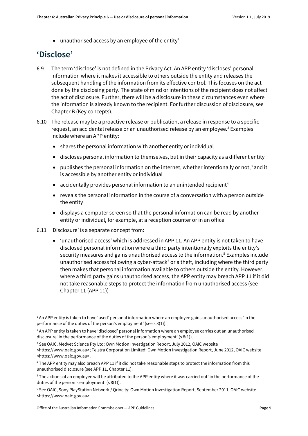• unauthorised access by an employee of the entity<sup>[1](#page-4-1)</sup>

#### <span id="page-4-0"></span>**'Disclose'**

- 6.9 The term 'disclose' is not defined in the Privacy Act. An APP entity 'discloses' personal information where it makes it accessible to others outside the entity and releases the subsequent handling of the information from its effective control. This focuses on the act done by the disclosing party. The state of mind or intentions of the recipient does not affect the act of disclosure. Further, there will be a disclosure in these circumstances even where the information is already known to the recipient. For further discussion of disclosure, see Chapter B (Key concepts).
- 6.10 The release may be a proactive release or publication, a release in response to a specific request, an accidental release or an unauthorised release by an employee.<sup>[2](#page-4-2)</sup> Examples include where an APP entity:
	- shares the personal information with another entity or individual
	- discloses personal information to themselves, but in their capacity as a different entity
	- publishes the personal information on the internet, whether intentionally or not,<sup>[3](#page-4-3)</sup> and it is accessible by another entity or individual
	- accidentally provides personal information to an unintended recipient<sup>[4](#page-4-4)</sup>
	- reveals the personal information in the course of a conversation with a person outside the entity
	- displays a computer screen so that the personal information can be read by another entity or individual, for example, at a reception counter or in an office
- 6.11 'Disclosure' is a separate concept from:
	- 'unauthorised access' which is addressed in APP 11. An APP entity is not taken to have disclosed personal information where a third party intentionally exploits the entity's security measures and gains unauthorised access to the information.<sup>[5](#page-4-5)</sup> Examples include unauthorised access following a cyber-attack<sup> $6$ </sup> or a theft, including where the third party then makes that personal information available to others outside the entity. However, where a third party gains unauthorised access, the APP entity may breach APP 11 if it did not take reasonable steps to protect the information from unauthorised access (see Chapter 11 (APP 11))

<span id="page-4-1"></span><sup>&</sup>lt;sup>1</sup> An APP entity is taken to have 'used' personal information where an employee gains unauthorised access 'in the performance of the duties of the person's employment' (see s 8(1)).

<span id="page-4-2"></span><sup>&</sup>lt;sup>2</sup> An APP entity is taken to have 'disclosed' personal information where an employee carries out an unauthorised disclosure 'in the performance of the duties of the person's employment' (s 8(1)).

<span id="page-4-3"></span><sup>&</sup>lt;sup>3</sup> See OAIC, Medvet Science Pty Ltd: Own Motion Investigation Report, July 2012, OAIC website

<sup>&</sup>lt;https://www.oaic.gov.au>; Telstra Corporation Limited: Own Motion Investigation Report, June 2012, OAIC website <https://www.oaic.gov.au>.

<span id="page-4-4"></span><sup>4</sup> The APP entity may also breach APP 11 if it did not take reasonable steps to protect the information from this unauthorised disclosure (see APP 11, Chapter 11).

<span id="page-4-5"></span><sup>&</sup>lt;sup>5</sup> The actions of an employee will be attributed to the APP entity where it was carried out 'in the performance of the duties of the person's employment' (s 8(1)).

<span id="page-4-6"></span><sup>6</sup> See OAIC, Sony PlayStation Network / Qriocity: Own Motion Investigation Report, September 2011, OAIC website <https://www.oaic.gov.au>.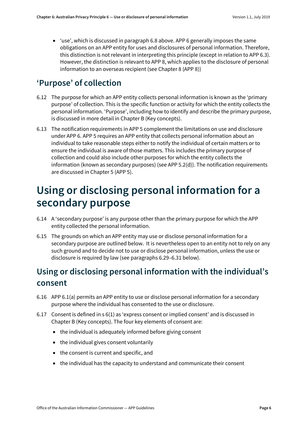• 'use', which is discussed in paragrap[h 6.8](#page-3-3) above. APP 6 generally imposes the same obligations on an APP entity for uses and disclosures of personal information. Therefore, this distinction is not relevant in interpreting this principle (except in relation to APP 6.3). However, the distinction is relevant to APP 8, which applies to the disclosure of personal information to an overseas recipient (see Chapter 8 (APP 8))

#### <span id="page-5-0"></span>**'Purpose' of collection**

- 6.12 The purpose for which an APP entity collects personal information is known as the 'primary purpose' of collection. This is the specific function or activity for which the entity collects the personal information. 'Purpose', including how to identify and describe the primary purpose, is discussed in more detail in Chapter B (Key concepts).
- 6.13 The notification requirements in APP 5 complement the limitations on use and disclosure under APP 6. APP 5 requires an APP entity that collects personal information about an individual to take reasonable steps either to notify the individual of certain matters or to ensure the individual is aware of those matters. This includes the primary purpose of collection and could also include other purposes for which the entity collects the information (known as secondary purposes) (see APP 5.2(d)). The notification requirements are discussed in Chapter 5 (APP 5).

## <span id="page-5-1"></span>**Using or disclosing personal information for a secondary purpose**

- 6.14 A 'secondary purpose' is any purpose other than the primary purpose for which the APP entity collected the personal information.
- 6.15 The grounds on which an APP entity may use or disclose personal information for a secondary purpose are outlined below. It is nevertheless open to an entity not to rely on any such ground and to decide not to use or disclose personal information, unless the use or disclosure is required by law (see paragraph[s 6.29–](#page-8-1)[6.31](#page-8-2) below).

### <span id="page-5-2"></span>**Using or disclosing personal information with the individual's consent**

- 6.16 APP 6.1(a) permits an APP entity to use or disclose personal information for a secondary purpose where the individual has consented to the use or disclosure.
- 6.17 Consent is defined in s 6(1) as 'express consent or implied consent' and is discussed in Chapter B (Key concepts). The four key elements of consent are:
	- the individual is adequately informed before giving consent
	- the individual gives consent voluntarily
	- the consent is current and specific, and
	- the individual has the capacity to understand and communicate their consent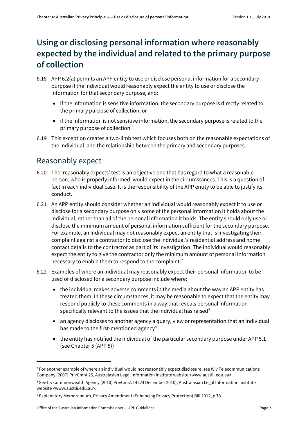### <span id="page-6-0"></span>**Using or disclosing personal information where reasonably expected by the individual and related to the primary purpose of collection**

- 6.18 APP 6.2(a) permits an APP entity to use or disclose personal information for a secondary purpose if the individual would reasonably expect the entity to use or disclose the information for that secondary purpose, and:
	- if the information is sensitive information, the secondary purpose is directly related to the primary purpose of collection, or
	- if the information is not sensitive information, the secondary purpose is related to the primary purpose of collection
- 6.19 This exception creates a two-limb test which focuses both on the reasonable expectations of the individual, and the relationship between the primary and secondary purposes.

#### Reasonably expect

- 6.20 The 'reasonably expects' test is an objective one that has regard to what a reasonable person, who is properly informed, would expect in the circumstances. This is a question of fact in each individual case. It is the responsibility of the APP entity to be able to justify its conduct.
- 6.21 An APP entity should consider whether an individual would reasonably expect it to use or disclose for a secondary purpose only some of the personal information it holds about the individual, rather than all of the personal information it holds. The entity should only use or disclose the minimum amount of personal information sufficient for the secondary purpose. For example, an individual may not reasonably expect an entity that is investigating their complaint against a contractor to disclose the individual's residential address and home contact details to the contractor as part of its investigation. The individual would reasonably expect the entity to give the contractor only the minimum amount of personal information necessary to enable them to respond to the complaint.<sup>[7](#page-6-1)</sup>
- 6.22 Examples of where an individual may reasonably expect their personal information to be used or disclosed for a secondary purpose include where:
	- the individual makes adverse comments in the media about the way an APP entity has treated them. In these circumstances, it may be reasonable to expect that the entity may respond publicly to these comments in a way that reveals personal information specifically relevant to the issues that the individual has raised<sup>[8](#page-6-2)</sup>
	- an agency discloses to another agency a query, view or representation that an individual has made to the first-mentioned agency<sup>[9](#page-6-3)</sup>
	- the entity has notified the individual of the particular secondary purpose under APP 5.1 (see Chapter 5 (APP 5))

 $\overline{a}$ 

<span id="page-6-1"></span> $7$  For another example of where an individual would not reasonably expect disclosure, see W v Telecommunications Company [2007] PrivCmrA 25, Australasian Legal Information Institute website <www.austlii.edu.au>.

<span id="page-6-2"></span><sup>&</sup>lt;sup>8</sup> See L v Commonwealth Agency [2010] PrivCmrA 14 (24 December 2010), Australasian Legal Information Institute website <www.austlii.edu.au>.

<span id="page-6-3"></span><sup>9</sup> Explanatory Memorandum, Privacy Amendment (Enhancing Privacy Protection) Bill 2012, p 78.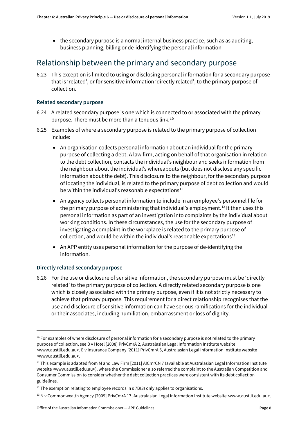• the secondary purpose is a normal internal business practice, such as as auditing, business planning, billing or de-identifying the personal information

#### Relationship between the primary and secondary purpose

6.23 This exception is limited to using or disclosing personal information for a secondary purpose that is 'related', or for sensitive information 'directly related', to the primary purpose of collection.

#### **Related secondary purpose**

- 6.24 A related secondary purpose is one which is connected to or associated with the primary purpose. There must be more than a tenuous link.[10](#page-7-0)
- 6.25 Examples of where a secondary purpose is related to the primary purpose of collection include:
	- An organisation collects personal information about an individual for the primary purpose of collecting a debt. A law firm, acting on behalf of that organisation in relation to the debt collection, contacts the individual's neighbour and seeks information from the neighbour about the individual's whereabouts (but does not disclose any specific information about the debt). This disclosure to the neighbour, for the secondary purpose of locating the individual, is related to the primary purpose of debt collection and would be within the individual's reasonable expectations<sup>[11](#page-7-1)</sup>
	- An agency collects personal information to include in an employee's personnel file for the primary purpose of administering that individual's employment.<sup>[12](#page-7-2)</sup> It then uses this personal information as part of an investigation into complaints by the individual about working conditions. In these circumstances, the use for the secondary purpose of investigating a complaint in the workplace is related to the primary purpose of collection, and would be within the individual's reasonable expectations<sup>13</sup>
	- An APP entity uses personal information for the purpose of de-identifying the information.

#### **Directly related secondary purpose**

**.** 

6.26 For the use or disclosure of sensitive information, the secondary purpose must be 'directly related' to the primary purpose of collection. A directly related secondary purpose is one which is closely associated with the primary purpose, even if it is not strictly necessary to achieve that primary purpose. This requirement for a direct relationship recognises that the use and disclosure of sensitive information can have serious ramifications for the individual or their associates, including humiliation, embarrassment or loss of dignity.

<span id="page-7-0"></span><sup>&</sup>lt;sup>10</sup> For examples of where disclosure of personal information for a secondary purpose is not related to the primary purpose of collection, see B v Hotel [2008] PrivCmrA 2, Australasian Legal Information Institute website <www.austlii.edu.au>. E v Insurance Company [2011] PrivCmrA 5, Australasian Legal Information Institute website <www.austlii.edu.au>.

<span id="page-7-1"></span><sup>&</sup>lt;sup>11</sup> This example is adapted from M and Law Firm [2011] AICmrCN 7 (available at Australasian Legal Information Institute website <www.austlii.edu.au>), where the Commissioner also referred the complaint to the Australian Competition and Consumer Commission to consider whether the debt collection practices were consistent with its debt collection guidelines.

<span id="page-7-2"></span> $12$  The exemption relating to employee records in s 7B(3) only applies to organisations.

<span id="page-7-3"></span><sup>13</sup> N v Commonwealth Agency [2009] PrivCmrA 17, Australasian Legal Information Institute website <www.austlii.edu.au>.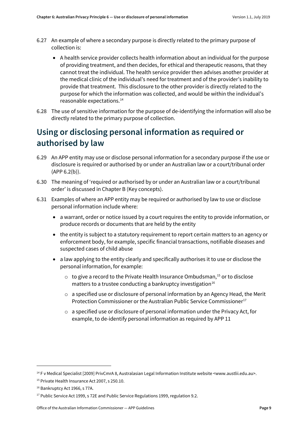- 6.27 An example of where a secondary purpose is directly related to the primary purpose of collection is:
	- A health service provider collects health information about an individual for the purpose of providing treatment, and then decides, for ethical and therapeutic reasons, that they cannot treat the individual. The health service provider then advises another provider at the medical clinic of the individual's need for treatment and of the provider's inability to provide that treatment. This disclosure to the other provider is directly related to the purpose for which the information was collected, and would be within the individual's reasonable expectations.[14](#page-8-3)
- 6.28 The use of sensitive information for the purpose of de-identifying the information will also be directly related to the primary purpose of collection.

### <span id="page-8-0"></span>**Using or disclosing personal information as required or authorised by law**

- <span id="page-8-1"></span>6.29 An APP entity may use or disclose personal information for a secondary purpose if the use or disclosure is required or authorised by or under an Australian law or a court/tribunal order  $(APP 6.2(b)).$
- 6.30 The meaning of 'required or authorised by or under an Australian law or a court/tribunal order' is discussed in Chapter B (Key concepts).
- <span id="page-8-2"></span>6.31 Examples of where an APP entity may be required or authorised by law to use or disclose personal information include where:
	- a warrant, order or notice issued by a court requires the entity to provide information, or produce records or documents that are held by the entity
	- the entity is subject to a statutory requirement to report certain matters to an agency or enforcement body, for example, specific financial transactions, notifiable diseases and suspected cases of child abuse
	- a law applying to the entity clearly and specifically authorises it to use or disclose the personal information, for example:
		- $\circ$  to give a record to the Private Health Insurance Ombudsman, $^{15}$  $^{15}$  $^{15}$  or to disclose matters to a trustee conducting a bankruptcy investigation $16$
		- $\circ$  a specified use or disclosure of personal information by an Agency Head, the Merit Protection Commissioner or the Australian Public Service Commissioner<sup>[17](#page-8-6)</sup>
		- $\circ$  a specified use or disclosure of personal information under the Privacy Act, for example, to de-identify personal information as required by APP 11

 $\overline{a}$ 

<span id="page-8-3"></span><sup>14</sup> F v Medical Specialist [2009] PrivCmrA 8, Australasian Legal Information Institute website <www.austlii.edu.au>.

<span id="page-8-4"></span><sup>15</sup> Private Health Insurance Act 2007, s 250.10.

<span id="page-8-5"></span><sup>16</sup> Bankruptcy Act 1966, s 77A.

<span id="page-8-6"></span><sup>&</sup>lt;sup>17</sup> Public Service Act 1999, s 72E and Public Service Regulations 1999, regulation 9.2.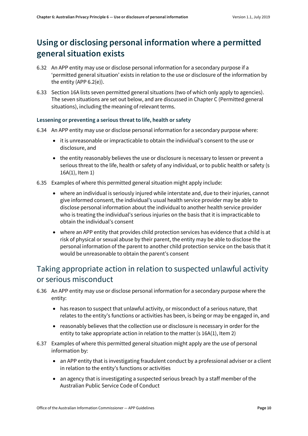### <span id="page-9-0"></span>**Using or disclosing personal information where a permitted general situation exists**

- 6.32 An APP entity may use or disclose personal information for a secondary purpose if a 'permitted general situation' exists in relation to the use or disclosure of the information by the entity (APP 6.2(e)).
- 6.33 Section 16A lists seven permitted general situations (two of which only apply to agencies). The seven situations are set out below, and are discussed in Chapter C (Permitted general situations), including the meaning of relevant terms.

#### **Lessening or preventing a serious threat to life, health or safety**

- 6.34 An APP entity may use or disclose personal information for a secondary purpose where:
	- it is unreasonable or impracticable to obtain the individual's consent to the use or disclosure, and
	- the entity reasonably believes the use or disclosure is necessary to lessen or prevent a serious threat to the life, health or safety of any individual, or to public health or safety (s 16A(1), Item 1)
- 6.35 Examples of where this permitted general situation might apply include:
	- where an individual is seriously injured while interstate and, due to their injuries, cannot give informed consent, the individual's usual health service provider may be able to disclose personal information about the individual to another health service provider who is treating the individual's serious injuries on the basis that it is impracticable to obtain the individual's consent
	- where an APP entity that provides child protection services has evidence that a child is at risk of physical or sexual abuse by their parent, the entity may be able to disclose the personal information of the parent to another child protection service on the basis that it would be unreasonable to obtain the parent's consent

#### Taking appropriate action in relation to suspected unlawful activity or serious misconduct

- 6.36 An APP entity may use or disclose personal information for a secondary purpose where the entity:
	- has reason to suspect that unlawful activity, or misconduct of a serious nature, that relates to the entity's functions or activities has been, is being or may be engaged in, and
	- reasonably believes that the collection use or disclosure is necessary in order for the entity to take appropriate action in relation to the matter (s 16A(1), Item 2)
- 6.37 Examples of where this permitted general situation might apply are the use of personal information by:
	- an APP entity that is investigating fraudulent conduct by a professional adviser or a client in relation to the entity's functions or activities
	- an agency that is investigating a suspected serious breach by a staff member of the Australian Public Service Code of Conduct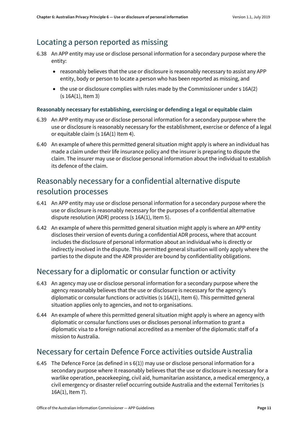#### Locating a person reported as missing

- 6.38 An APP entity may use or disclose personal information for a secondary purpose where the entity:
	- reasonably believes that the use or disclosure is reasonably necessary to assist any APP entity, body or person to locate a person who has been reported as missing, and
	- the use or disclosure complies with rules made by the Commissioner under s 16A(2) (s 16A(1), Item 3)

#### **Reasonably necessary for establishing, exercising or defending a legal or equitable claim**

- 6.39 An APP entity may use or disclose personal information for a secondary purpose where the use or disclosure is reasonably necessary for the establishment, exercise or defence of a legal or equitable claim (s 16A(1) Item 4).
- 6.40 An example of where this permitted general situation might apply is where an individual has made a claim under their life insurance policy and the insurer is preparing to dispute the claim. The insurer may use or disclose personal information about the individual to establish its defence of the claim.

#### Reasonably necessary for a confidential alternative dispute resolution processes

- 6.41 An APP entity may use or disclose personal information for a secondary purpose where the use or disclosure is reasonably necessary for the purposes of a confidential alternative dispute resolution (ADR) process (s 16A(1), Item 5).
- 6.42 An example of where this permitted general situation might apply is where an APP entity discloses their version of events during a confidential ADR process, where that account includes the disclosure of personal information about an individual who is directly or indirectly involved in the dispute. This permitted general situation will only apply where the parties to the dispute and the ADR provider are bound by confidentiality obligations.

#### Necessary for a diplomatic or consular function or activity

- 6.43 An agency may use or disclose personal information for a secondary purpose where the agency reasonably believes that the use or disclosure is necessary for the agency's diplomatic or consular functions or activities (s 16A(1), Item 6). This permitted general situation applies only to agencies, and not to organisations.
- 6.44 An example of where this permitted general situation might apply is where an agency with diplomatic or consular functions uses or discloses personal information to grant a diplomatic visa to a foreign national accredited as a member of the diplomatic staff of a mission to Australia.

#### Necessary for certain Defence Force activities outside Australia

6.45 The Defence Force (as defined in s 6(1)) may use or disclose personal information for a secondary purpose where it reasonably believes that the use or disclosure is necessary for a warlike operation, peacekeeping, civil aid, humanitarian assistance, a medical emergency, a civil emergency or disaster relief occurring outside Australia and the external Territories (s 16A(1), Item 7).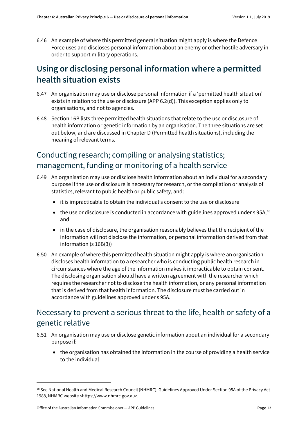6.46 An example of where this permitted general situation might apply is where the Defence Force uses and discloses personal information about an enemy or other hostile adversary in order to support military operations.

#### <span id="page-11-0"></span>**Using or disclosing personal information where a permitted health situation exists**

- 6.47 An organisation may use or disclose personal information if a 'permitted health situation' exists in relation to the use or disclosure (APP 6.2(d)). This exception applies only to organisations, and not to agencies.
- 6.48 Section 16B lists three permitted health situations that relate to the use or disclosure of health information or genetic information by an organisation. The three situations are set out below, and are discussed in Chapter D (Permitted health situations), including the meaning of relevant terms.

#### Conducting research; compiling or analysing statistics; management, funding or monitoring of a health service

- 6.49 An organisation may use or disclose health information about an individual for a secondary purpose if the use or disclosure is necessary for research, or the compilation or analysis of statistics, relevant to public health or public safety, and:
	- it is impracticable to obtain the individual's consent to the use or disclosure
	- $\bullet$  the use or disclosure is conducted in accordance with guidelines approved under s 95A,  $^{18}$  $^{18}$  $^{18}$ and
	- in the case of disclosure, the organisation reasonably believes that the recipient of the information will not disclose the information, or personal information derived from that information (s 16B(3))
- 6.50 An example of where this permitted health situation might apply is where an organisation discloses health information to a researcher who is conducting public health research in circumstances where the age of the information makes it impracticable to obtain consent. The disclosing organisation should have a written agreement with the researcher which requires the researcher not to disclose the health information, or any personal information that is derived from that health information. The disclosure must be carried out in accordance with guidelines approved under s 95A.

#### Necessary to prevent a serious threat to the life, health or safety of a genetic relative

- 6.51 An organisation may use or disclose genetic information about an individual for a secondary purpose if:
	- the organisation has obtained the information in the course of providing a health service to the individual

<span id="page-11-1"></span><sup>&</sup>lt;sup>18</sup> See National Health and Medical Research Council (NHMRC), Guidelines Approved Under Section 95A of the Privacy Act 1988, NHMRC website <https://www.nhmrc.gov.au>.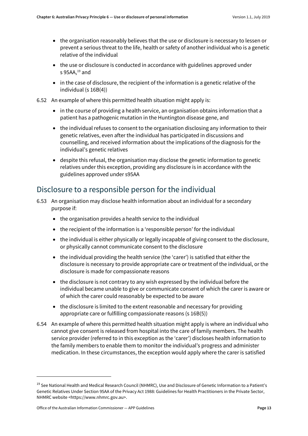- the organisation reasonably believes that the use or disclosure is necessary to lessen or prevent a serious threat to the life, health or safety of another individual who is a genetic relative of the individual
- the use or disclosure is conducted in accordance with guidelines approved under s 95AA,<sup>[19](#page-12-0)</sup> and
- in the case of disclosure, the recipient of the information is a genetic relative of the individual (s 16B(4))
- 6.52 An example of where this permitted health situation might apply is:
	- in the course of providing a health service, an organisation obtains information that a patient has a pathogenic mutation in the Huntington disease gene, and
	- the individual refuses to consent to the organisation disclosing any information to their genetic relatives, even after the individual has participated in discussions and counselling, and received information about the implications of the diagnosis for the individual's genetic relatives
	- despite this refusal, the organisation may disclose the genetic information to genetic relatives under this exception, providing any disclosure is in accordance with the guidelines approved under s95AA

#### Disclosure to a responsible person for the individual

- 6.53 An organisation may disclose health information about an individual for a secondary purpose if:
	- the organisation provides a health service to the individual
	- the recipient of the information is a 'responsible person' for the individual
	- the individual is either physically or legally incapable of giving consent to the disclosure, or physically cannot communicate consent to the disclosure
	- the individual providing the health service (the 'carer') is satisfied that either the disclosure is necessary to provide appropriate care or treatment of the individual, or the disclosure is made for compassionate reasons
	- the disclosure is not contrary to any wish expressed by the individual before the individual became unable to give or communicate consent of which the carer is aware or of which the carer could reasonably be expected to be aware
	- the disclosure is limited to the extent reasonable and necessary for providing appropriate care or fulfilling compassionate reasons (s 16B(5))
- 6.54 An example of where this permitted health situation might apply is where an individual who cannot give consent is released from hospital into the care of family members. The health service provider (referred to in this exception as the 'carer') discloses health information to the family members to enable them to monitor the individual's progress and administer medication. In these circumstances, the exception would apply where the carer is satisfied

<span id="page-12-0"></span><sup>&</sup>lt;sup>19</sup> See National Health and Medical Research Council (NHMRC), Use and Disclosure of Genetic Information to a Patient's Genetic Relatives Under Section 95AA of the Privacy Act 1988: Guidelines for Health Practitioners in the Private Sector, NHMRC website <https://www.nhmrc.gov.au>.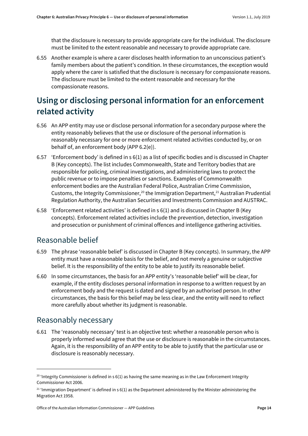that the disclosure is necessary to provide appropriate care for the individual. The disclosure must be limited to the extent reasonable and necessary to provide appropriate care.

6.55 Another example is where a carer discloses health information to an unconscious patient's family members about the patient's condition. In these circumstances, the exception would apply where the carer is satisfied that the disclosure is necessary for compassionate reasons. The disclosure must be limited to the extent reasonable and necessary for the compassionate reasons.

### <span id="page-13-0"></span>**Using or disclosing personal information for an enforcement related activity**

- 6.56 An APP entity may use or disclose personal information for a secondary purpose where the entity reasonably believes that the use or disclosure of the personal information is reasonably necessary for one or more enforcement related activities conducted by, or on behalf of, an enforcement body (APP 6.2(e)).
- 6.57 'Enforcement body' is defined in s 6(1) as a list of specific bodies and is discussed in Chapter B (Key concepts). The list includes Commonwealth, State and Territory bodies that are responsible for policing, criminal investigations, and administering laws to protect the public revenue or to impose penalties or sanctions. Examples of Commonwealth enforcement bodies are the Australian Federal Police, Australian Crime Commission, Customs, the Integrity Commissioner,<sup>[20](#page-13-1)</sup> the Immigration Department,<sup>[21](#page-13-2)</sup> Australian Prudential Regulation Authority, the Australian Securities and Investments Commission and AUSTRAC.
- 6.58 'Enforcement related activities' is defined in s 6(1) and is discussed in Chapter B (Key concepts). Enforcement related activities include the prevention, detection, investigation and prosecution or punishment of criminal offences and intelligence gathering activities.

#### Reasonable belief

- 6.59 The phrase 'reasonable belief' is discussed in Chapter B (Key concepts). In summary, the APP entity must have a reasonable basis for the belief, and not merely a genuine or subjective belief. It is the responsibility of the entity to be able to justify its reasonable belief.
- 6.60 In some circumstances, the basis for an APP entity's 'reasonable belief' will be clear, for example, if the entity discloses personal information in response to a written request by an enforcement body and the request is dated and signed by an authorised person. In other circumstances, the basis for this belief may be less clear, and the entity will need to reflect more carefully about whether its judgment is reasonable.

#### Reasonably necessary

 $\overline{a}$ 

6.61 The 'reasonably necessary' test is an objective test: whether a reasonable person who is properly informed would agree that the use or disclosure is reasonable in the circumstances. Again, it is the responsibility of an APP entity to be able to justify that the particular use or disclosure is reasonably necessary.

<span id="page-13-1"></span><sup>&</sup>lt;sup>20</sup> 'Integrity Commissioner is defined in s  $6(1)$  as having the same meaning as in the Law Enforcement Integrity Commissioner Act 2006.

<span id="page-13-2"></span> $^{21}$  'Immigration Department' is defined in s 6(1) as the Department administered by the Minister administering the Migration Act 1958.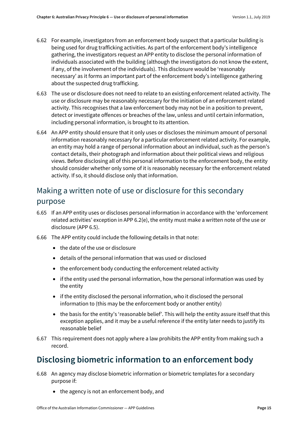- 6.62 For example, investigators from an enforcement body suspect that a particular building is being used for drug trafficking activities. As part of the enforcement body's intelligence gathering, the investigators request an APP entity to disclose the personal information of individuals associated with the building (although the investigators do not know the extent, if any, of the involvement of the individuals). This disclosure would be 'reasonably necessary' as it forms an important part of the enforcement body's intelligence gathering about the suspected drug trafficking.
- 6.63 The use or disclosure does not need to relate to an existing enforcement related activity. The use or disclosure may be reasonably necessary for the initiation of an enforcement related activity. This recognises that a law enforcement body may not be in a position to prevent, detect or investigate offences or breaches of the law, unless and until certain information, including personal information, is brought to its attention.
- 6.64 An APP entity should ensure that it only uses or discloses the minimum amount of personal information reasonably necessary for a particular enforcement related activity. For example, an entity may hold a range of personal information about an individual, such as the person's contact details, their photograph and information about their political views and religious views. Before disclosing all of this personal information to the enforcement body, the entity should consider whether only some of it is reasonably necessary for the enforcement related activity. If so, it should disclose only that information.

#### Making a written note of use or disclosure for this secondary purpose

- 6.65 If an APP entity uses or discloses personal information in accordance with the 'enforcement related activities' exception in APP 6.2(e), the entity must make a written note of the use or disclosure (APP 6.5).
- 6.66 The APP entity could include the following details in that note:
	- the date of the use or disclosure
	- details of the personal information that was used or disclosed
	- the enforcement body conducting the enforcement related activity
	- if the entity used the personal information, how the personal information was used by the entity
	- if the entity disclosed the personal information, who it disclosed the personal information to (this may be the enforcement body or another entity)
	- the basis for the entity's 'reasonable belief'. This will help the entity assure itself that this exception applies, and it may be a useful reference if the entity later needs to justify its reasonable belief
- 6.67 This requirement does not apply where a law prohibits the APP entity from making such a record.

#### <span id="page-14-0"></span>**Disclosing biometric information to an enforcement body**

- 6.68 An agency may disclose biometric information or biometric templates for a secondary purpose if:
	- the agency is not an enforcement body, and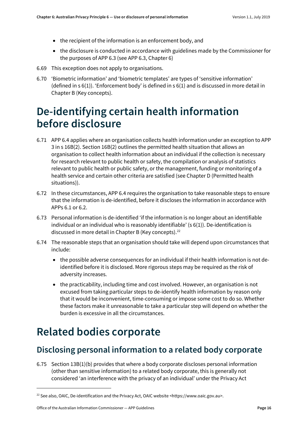- the recipient of the information is an enforcement body, and
- the disclosure is conducted in accordance with guidelines made by the Commissioner for the purposes of APP 6.3 (see APP 6.3, Chapter 6)
- 6.69 This exception does not apply to organisations.
- 6.70 'Biometric information' and 'biometric templates' are types of 'sensitive information' (defined in s 6(1)). 'Enforcement body' is defined in s 6(1) and is discussed in more detail in Chapter B (Key concepts).

## <span id="page-15-0"></span>**De-identifying certain health information before disclosure**

- 6.71 APP 6.4 applies where an organisation collects health information under an exception to APP 3 in s 16B(2). Section 16B(2) outlines the permitted health situation that allows an organisation to collect health information about an individual if the collection is necessary for research relevant to public health or safety, the compilation or analysis of statistics relevant to public health or public safety, or the management, funding or monitoring of a health service and certain other criteria are satisfied (see Chapter D (Permitted health situations)).
- 6.72 In these circumstances, APP 6.4 requires the organisation to take reasonable steps to ensure that the information is de-identified, before it discloses the information in accordance with APPs 6.1 or 6.2.
- 6.73 Personal information is de-identified 'if the information is no longer about an identifiable individual or an individual who is reasonably identifiable' (s 6(1)). De-identification is discussed in more detail in Chapter B (Key concepts).<sup>22</sup>
- 6.74 The reasonable steps that an organisation should take will depend upon circumstances that include:
	- the possible adverse consequences for an individual if their health information is not deidentified before it is disclosed. More rigorous steps may be required as the risk of adversity increases.
	- the practicability, including time and cost involved. However, an organisation is not excused from taking particular steps to de-identify health information by reason only that it would be inconvenient, time-consuming or impose some cost to do so. Whether these factors make it unreasonable to take a particular step will depend on whether the burden is excessive in all the circumstances.

### <span id="page-15-1"></span>**Related bodies corporate**

#### <span id="page-15-2"></span>**Disclosing personal information to a related body corporate**

6.75 Section 13B(1)(b) provides that where a body corporate discloses personal information (other than sensitive information) to a related body corporate, this is generally not considered 'an interference with the privacy of an individual' under the Privacy Act

1

<span id="page-15-3"></span><sup>&</sup>lt;sup>22</sup> See also, OAIC, De-identification and the Privacy Act, OAIC website <https://www.oaic.gov.au>.